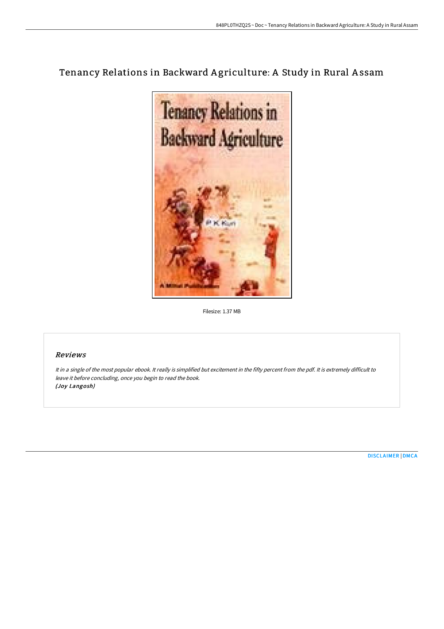# Tenancy Relations in Backward Agriculture: A Study in Rural Assam



Filesize: 1.37 MB

## Reviews

It in <sup>a</sup> single of the most popular ebook. It really is simplified but excitement in the fifty percent from the pdf. It is extremely difficult to leave it before concluding, once you begin to read the book. (Joy Langosh)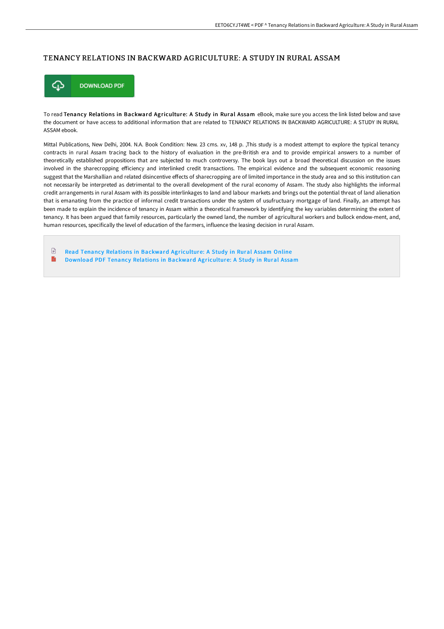## TENANCY RELATIONS IN BACKWARD AGRICULTURE: A STUDY IN RURAL ASSAM



To read Tenancy Relations in Backward Agriculture: A Study in Rural Assam eBook, make sure you access the link listed below and save the document or have access to additional information that are related to TENANCY RELATIONS IN BACKWARD AGRICULTURE: A STUDY IN RURAL ASSAM ebook.

Mittal Publications, New Delhi, 2004. N.A. Book Condition: New. 23 cms. xv, 148 p. ,This study is a modest attempt to explore the typical tenancy contracts in rural Assam tracing back to the history of evaluation in the pre-British era and to provide empirical answers to a number of theoretically established propositions that are subjected to much controversy. The book lays out a broad theoretical discussion on the issues involved in the sharecropping efficiency and interlinked credit transactions. The empirical evidence and the subsequent economic reasoning suggest that the Marshallian and related disincentive effects of sharecropping are of limited importance in the study area and so this institution can not necessarily be interpreted as detrimental to the overall development of the rural economy of Assam. The study also highlights the informal credit arrangements in rural Assam with its possible interlinkages to land and labour markets and brings out the potential threat of land alienation that is emanating from the practice of informal credit transactions under the system of usufructuary mortgage of land. Finally, an attempt has been made to explain the incidence of tenancy in Assam within a theoretical framework by identifying the key variables determining the extent of tenancy. It has been argued that family resources, particularly the owned land, the number of agricultural workers and bullock endow-ment, and, human resources, specifically the level of education of the farmers, influence the leasing decision in rural Assam.

Read Tenancy Relations in Backward [Agriculture:](http://www.bookdirs.com/tenancy-relations-in-backward-agriculture-a-stud.html) A Study in Rural Assam Online E Download PDF Tenancy Relations in Backward [Agriculture:](http://www.bookdirs.com/tenancy-relations-in-backward-agriculture-a-stud.html) A Study in Rural Assam